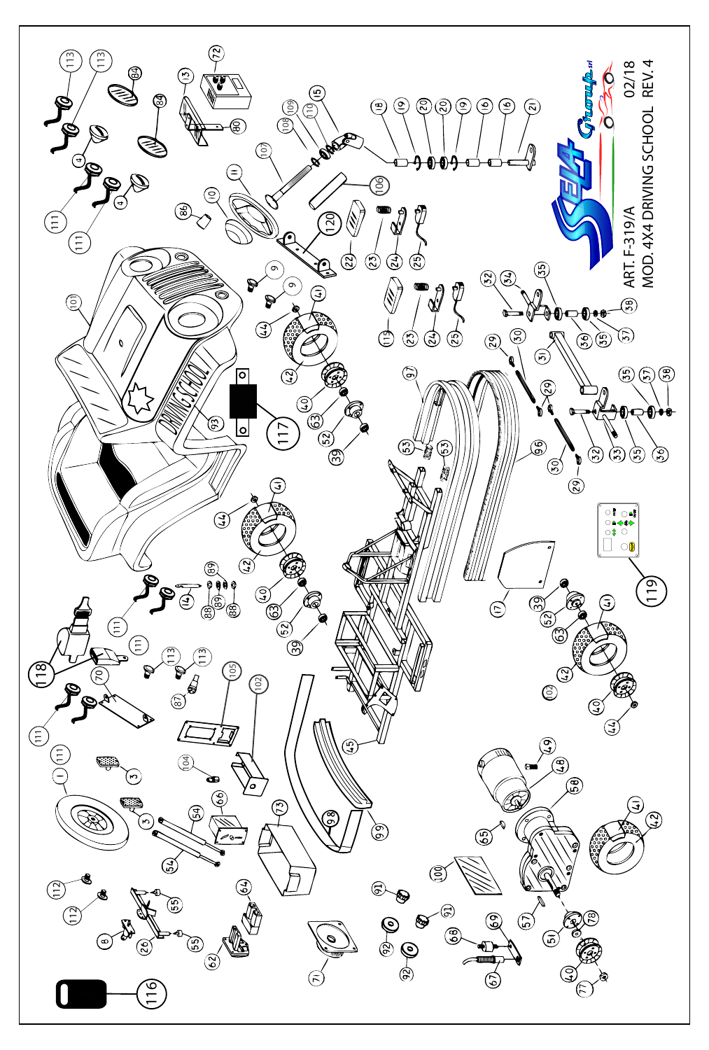